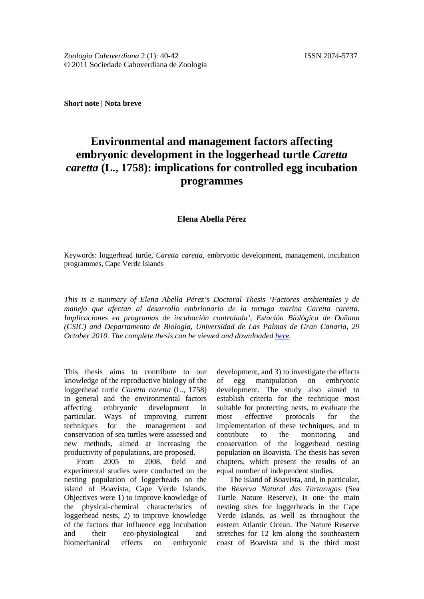**Short note | Nota breve**

## **Environmental and management factors affecting embryonic development in the loggerhead turtle** *Caretta caretta* **(L., 1758): implications for controlled egg incubation programmes**

## **Elena Abella Pérez**

Keywords: loggerhead turtle, *Caretta caretta,* embryonic development, management, incubation programmes, Cape Verde Islands

*This is a summary of Elena Abella Pérez's Doctoral Thesis 'Factores ambientales y de manejo que afectan al desarrollo embrionario de la tortuga marina Caretta caretta. Implicaciones en programas de incubación controlada', Estación Biológica de Doñana (CSIC) and Departamento de Biología, Universidad de Las Palmas de Gran Canaria, 29 October 2010. The complete thesis can be viewed and downloaded [here.](http://www.seaturtle.org/PDF/ElenaAbellaPrez_2010_PhD.pdf)*

This thesis aims to contribute to our knowledge of the reproductive biology of the loggerhead turtle *Caretta caretta* (L., 1758) in general and the environmental factors affecting embryonic development in particular. Ways of improving current techniques for the management and conservation of sea turtles were assessed and new methods, aimed at increasing the productivity of populations, are proposed.

From 2005 to 2008, field and experimental studies were conducted on the nesting population of loggerheads on the island of Boavista, Cape Verde Islands. Objectives were 1) to improve knowledge of the physical-chemical characteristics of loggerhead nests, 2) to improve knowledge of the factors that influence egg incubation and their eco-physiological and biomechanical effects on embryonic

development, and 3) to investigate the effects of egg manipulation on embryonic development. The study also aimed to establish criteria for the technique most suitable for protecting nests, to evaluate the most effective protocols for the implementation of these techniques, and to contribute to the monitoring and conservation of the loggerhead nesting population on Boavista. The thesis has seven chapters, which present the results of an equal number of independent studies.

The island of Boavista, and, in particular, the *Reserva Natural das Tartarugas* (Sea Turtle Nature Reserve), is one the main nesting sites for loggerheads in the Cape Verde Islands, as well as throughout the eastern Atlantic Ocean. The Nature Reserve stretches for 12 km along the southeastern coast of Boavista and is the third most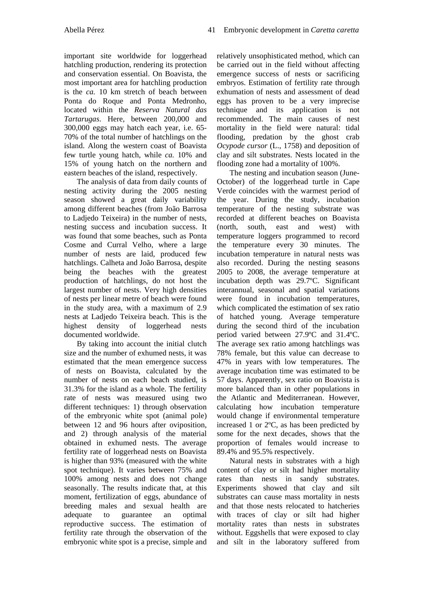important site worldwide for loggerhead hatchling production, rendering its protection and conservation essential. On Boavista, the most important area for hatchling production is the *ca.* 10 km stretch of beach between Ponta do Roque and Ponta Medronho, located within the *Reserva Natural das Tartarugas*. Here, between 200,000 and 300,000 eggs may hatch each year, i.e. 65- 70% of the total number of hatchlings on the island. Along the western coast of Boavista few turtle young hatch, while *ca.* 10% and 15% of young hatch on the northern and eastern beaches of the island, respectively.

The analysis of data from daily counts of nesting activity during the 2005 nesting season showed a great daily variability among different beaches (from João Barrosa to Ladjedo Teixeira) in the number of nests, nesting success and incubation success. It was found that some beaches, such as Ponta Cosme and Curral Velho, where a large number of nests are laid, produced few hatchlings. Calheta and João Barrosa, despite being the beaches with the greatest production of hatchlings, do not host the largest number of nests. Very high densities of nests per linear metre of beach were found in the study area, with a maximum of 2.9 nests at Ladjedo Teixeira beach. This is the highest density of loggerhead nests documented worldwide.

By taking into account the initial clutch size and the number of exhumed nests, it was estimated that the mean emergence success of nests on Boavista, calculated by the number of nests on each beach studied, is 31.3% for the island as a whole. The fertility rate of nests was measured using two different techniques: 1) through observation of the embryonic white spot (animal pole) between 12 and 96 hours after oviposition, and 2) through analysis of the material obtained in exhumed nests. The average fertility rate of loggerhead nests on Boavista is higher than 93% (measured with the white spot technique). It varies between 75% and 100% among nests and does not change seasonally. The results indicate that, at this moment, fertilization of eggs, abundance of breeding males and sexual health are adequate to guarantee an optimal reproductive success. The estimation of fertility rate through the observation of the embryonic white spot is a precise, simple and

relatively unsophisticated method, which can be carried out in the field without affecting emergence success of nests or sacrificing embryos. Estimation of fertility rate through exhumation of nests and assessment of dead eggs has proven to be a very imprecise technique and its application is not recommended. The main causes of nest mortality in the field were natural: tidal flooding, predation by the ghost crab *Ocypode cursor* (L., 1758) and deposition of clay and silt substrates. Nests located in the flooding zone had a mortality of 100%.

The nesting and incubation season (June-October) of the loggerhead turtle in Cape Verde coincides with the warmest period of the year. During the study, incubation temperature of the nesting substrate was recorded at different beaches on Boavista (north, south, east and west) with temperature loggers programmed to record the temperature every 30 minutes. The incubation temperature in natural nests was also recorded. During the nesting seasons 2005 to 2008, the average temperature at incubation depth was 29.7ºC. Significant interannual, seasonal and spatial variations were found in incubation temperatures, which complicated the estimation of sex ratio of hatched young. Average temperature during the second third of the incubation period varied between 27.9ºC and 31.4ºC. The average sex ratio among hatchlings was 78% female, but this value can decrease to 47% in years with low temperatures. The average incubation time was estimated to be 57 days. Apparently, sex ratio on Boavista is more balanced than in other populations in the Atlantic and Mediterranean. However, calculating how incubation temperature would change if environmental temperature increased 1 or 2ºC, as has been predicted by some for the next decades, shows that the proportion of females would increase to 89.4% and 95.5% respectively.

Natural nests in substrates with a high content of clay or silt had higher mortality rates than nests in sandy substrates. Experiments showed that clay and silt substrates can cause mass mortality in nests and that those nests relocated to hatcheries with traces of clay or silt had higher mortality rates than nests in substrates without. Eggshells that were exposed to clay and silt in the laboratory suffered from